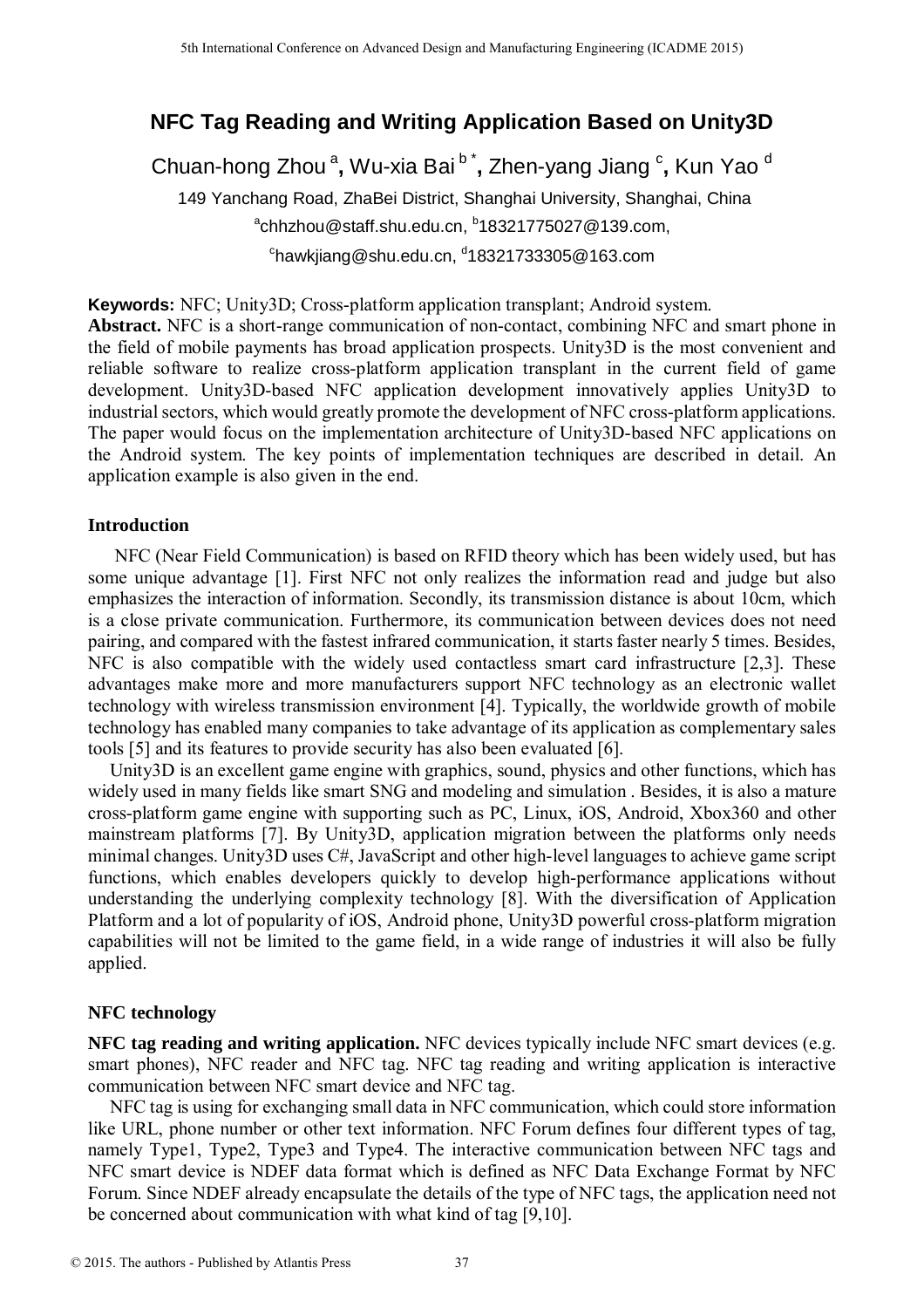# **NFC Tag Reading and Writing Application Based on Unity3D**

Chuan-hong Zhou <sup>a</sup>, Wu-xia Bai <sup>b</sup>໋, Zhen-yang Jiang <sup>c</sup>, Kun Yao <sup>d</sup> 149 Yanchang Road, ZhaBei District, Shanghai University, Shanghai, China  $^{\rm a}$ chhzhou@staff.shu.edu.cn,  $^{\rm b}$ 18321775027@139.com,  $\mathrm{^c}$ hawkjiang@shu.edu.cn,  $\mathrm{^d}$ 18321733305@163.com

**Keywords:** NFC; Unity3D; Cross-platform application transplant; Android system.

**Abstract.** NFC is a short-range communication of non-contact, combining NFC and smart phone in the field of mobile payments has broad application prospects. Unity3D is the most convenient and reliable software to realize cross-platform application transplant in the current field of game development. Unity3D-based NFC application development innovatively applies Unity3D to industrial sectors, which would greatly promote the development of NFC cross-platform applications. The paper would focus on the implementation architecture of Unity3D-based NFC applications on the Android system. The key points of implementation techniques are described in detail. An application example is also given in the end.

#### **Introduction**

NFC (Near Field Communication) is based on RFID theory which has been widely used, but has some unique advantage [1]. First NFC not only realizes the information read and judge but also emphasizes the interaction of information. Secondly, its transmission distance is about 10cm, which is a close private communication. Furthermore, its communication between devices does not need pairing, and compared with the fastest infrared communication, it starts faster nearly 5 times. Besides, NFC is also compatible with the widely used contactless smart card infrastructure [2,3]. These advantages make more and more manufacturers support NFC technology as an electronic wallet technology with wireless transmission environment [4]. Typically, the worldwide growth of mobile technology has enabled many companies to take advantage of its application as complementary sales tools [5] and its features to provide security has also been evaluated [6].

Unity3D is an excellent game engine with graphics, sound, physics and other functions, which has widely used in many fields like smart SNG and modeling and simulation . Besides, it is also a mature cross-platform game engine with supporting such as PC, Linux, iOS, Android, Xbox360 and other mainstream platforms [7]. By Unity3D, application migration between the platforms only needs minimal changes. Unity3D uses C#, JavaScript and other high-level languages to achieve game script functions, which enables developers quickly to develop high-performance applications without understanding the underlying complexity technology [8]. With the diversification of Application Platform and a lot of popularity of iOS, Android phone, Unity3D powerful cross-platform migration capabilities will not be limited to the game field, in a wide range of industries it will also be fully applied. <sup>516</sup> the thermatical Conference on Advanced Design and Manufacture of Equality Churan-hong Zhou<sup>2</sup>, Wu-xia Bai<sup>b</sup><sup>2</sup>, Zhen-yang Jiang<sup>e</sup>, Kun Ya 149 <sup>b</sup> Churan-hong Zhou<sup>2</sup>, Wu-xia Bai<sup>b</sup><sup>2</sup>, Zhen-yang Jiang<sup>e</sup>, Kun Ya 14

### **NFC technology**

**NFC tag reading and writing application.** NFC devices typically include NFC smart devices (e.g. smart phones), NFC reader and NFC tag. NFC tag reading and writing application is interactive communication between NFC smart device and NFC tag.

NFC tag is using for exchanging small data in NFC communication, which could store information like URL, phone number or other text information. NFC Forum defines four different types of tag, namely Type1, Type2, Type3 and Type4. The interactive communication between NFC tags and NFC smart device is NDEF data format which is defined as NFC Data Exchange Format by NFC Forum. Since NDEF already encapsulate the details of the type of NFC tags, the application need not be concerned about communication with what kind of tag [9,10].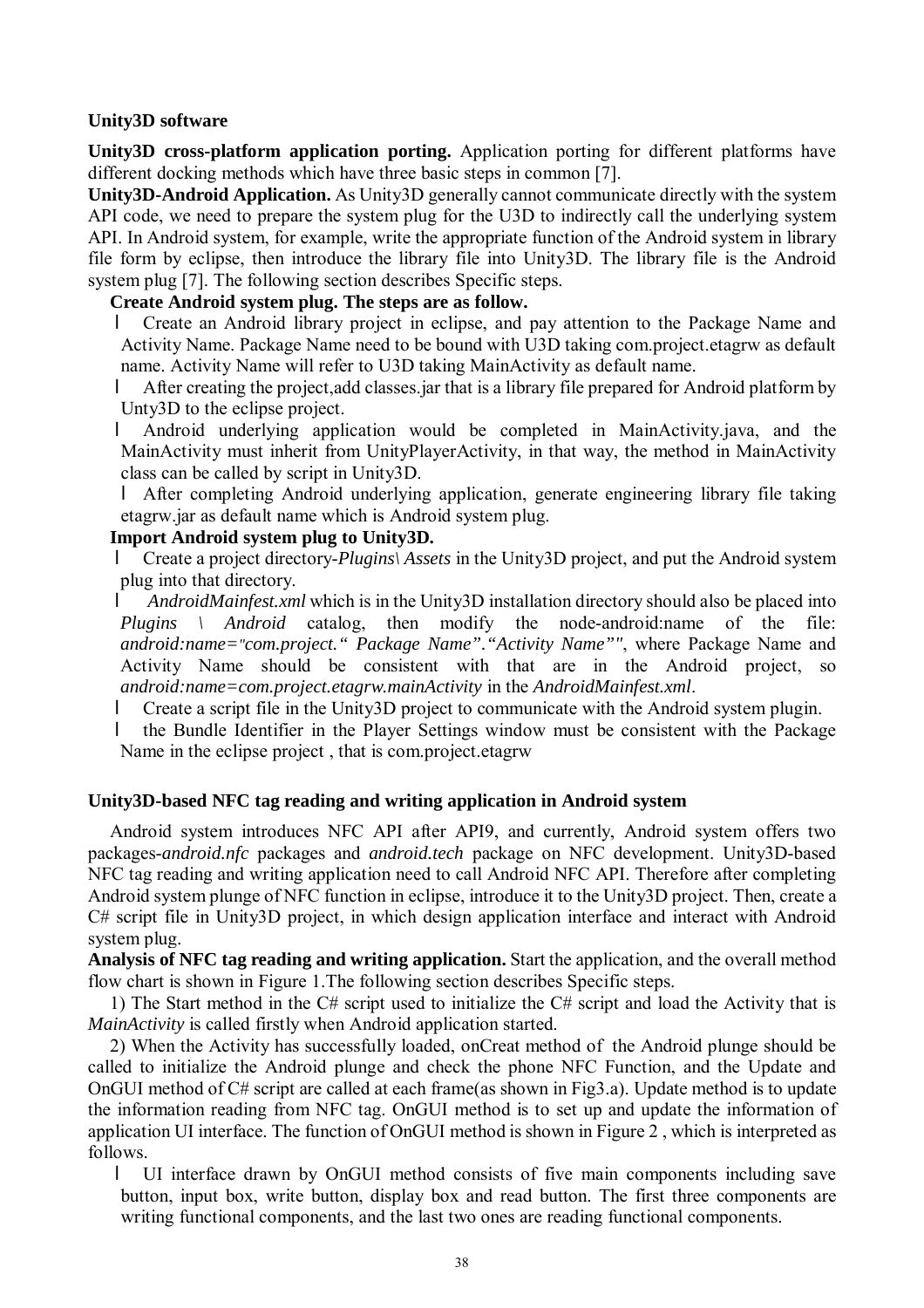#### **Unity3D software**

**Unity3D cross-platform application porting.** Application porting for different platforms have different docking methods which have three basic steps in common [7].

**Unity3D-Android Application.** As Unity3D generally cannot communicate directly with the system API code, we need to prepare the system plug for the U3D to indirectly call the underlying system API. In Android system, for example, write the appropriate function of the Android system in library file form by eclipse, then introduce the library file into Unity3D. The library file is the Android system plug [7]. The following section describes Specific steps.

#### **Create Android system plug. The steps are as follow.**

l Create an Android library project in eclipse, and pay attention to the Package Name and Activity Name. Package Name need to be bound with U3D taking com.project.etagrw as default name. Activity Name will refer to U3D taking MainActivity as default name.

l After creating the project,add classes.jar that is a library file prepared for Android platform by Unty3D to the eclipse project.

l Android underlying application would be completed in MainActivity.java, and the MainActivity must inherit from UnityPlayerActivity, in that way, the method in MainActivity class can be called by script in Unity3D.

l After completing Android underlying application, generate engineering library file taking etagrw.jar as default name which is Android system plug.

#### **Import Android system plug to Unity3D.**

l Create a project directory-*Plugins\ Assets* in the Unity3D project, and put the Android system plug into that directory.

l *AndroidMainfest.xml* which is in the Unity3D installation directory should also be placed into *Plugins \ Android* catalog, then modify the node-android:name of the file: *android:name="com.project." Package Name"."Activity Name""*, where Package Name and Activity Name should be consistent with that are in the Android project, so *android:name=com.project.etagrw.mainActivity* in the *AndroidMainfest.xml*.

l Create a script file in the Unity3D project to communicate with the Android system plugin.

l the Bundle Identifier in the Player Settings window must be consistent with the Package Name in the eclipse project, that is com.project.etagrw

#### **Unity3D-based NFC tag reading and writing application in Android system**

Android system introduces NFC API after API9, and currently, Android system offers two packages-*android.nfc* packages and *android.tech* package on NFC development. Unity3D-based NFC tag reading and writing application need to call Android NFC API. Therefore after completing Android system plunge of NFC function in eclipse, introduce it to the Unity3D project. Then, create a C# script file in Unity3D project, in which design application interface and interact with Android system plug.

**Analysis of NFC tag reading and writing application.** Start the application, and the overall method flow chart is shown in Figure 1.The following section describes Specific steps.

1) The Start method in the C# script used to initialize the C# script and load the Activity that is *MainActivity* is called firstly when Android application started.

2) When the Activity has successfully loaded, onCreat method of the Android plunge should be called to initialize the Android plunge and check the phone NFC Function, and the Update and OnGUI method of C# script are called at each frame(as shown in Fig3.a). Update method is to update the information reading from NFC tag. OnGUI method is to set up and update the information of application UI interface. The function of OnGUI method is shown in Figure 2 , which is interpreted as follows.

l UI interface drawn by OnGUI method consists of five main components including save button, input box, write button, display box and read button. The first three components are writing functional components, and the last two ones are reading functional components.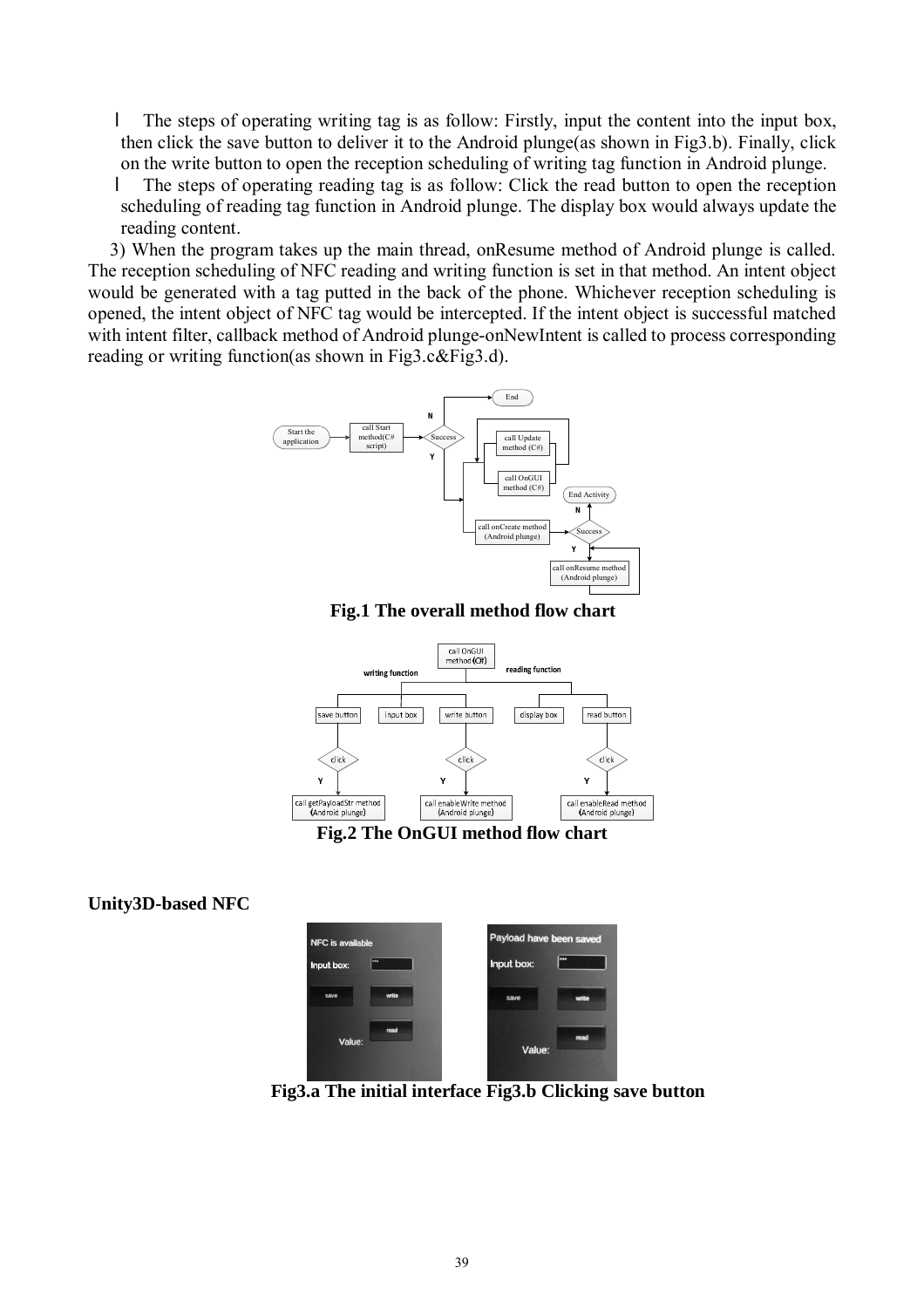l The steps of operating writing tag is as follow: Firstly, input the content into the input box, then click the save button to deliver it to the Android plunge(as shown in Fig3.b). Finally, click on the write button to open the reception scheduling of writing tag function in Android plunge.

l The steps of operating reading tag is as follow: Click the read button to open the reception scheduling of reading tag function in Android plunge. The display box would always update the reading content.

3) When the program takes up the main thread, onResume method of Android plunge is called. The reception scheduling of NFC reading and writing function is set in that method. An intent object would be generated with a tag putted in the back of the phone. Whichever reception scheduling is opened, the intent object of NFC tag would be intercepted. If the intent object is successful matched with intent filter, callback method of Android plunge-onNewIntent is called to process corresponding reading or writing function(as shown in Fig3.c&Fig3.d).



#### **Fig.1 The overall method flow chart**



**Fig.2 The OnGUI method flow chart** 

#### **Unity3D-based NFC**



**Fig3.a The initial interface Fig3.b Clicking save button**